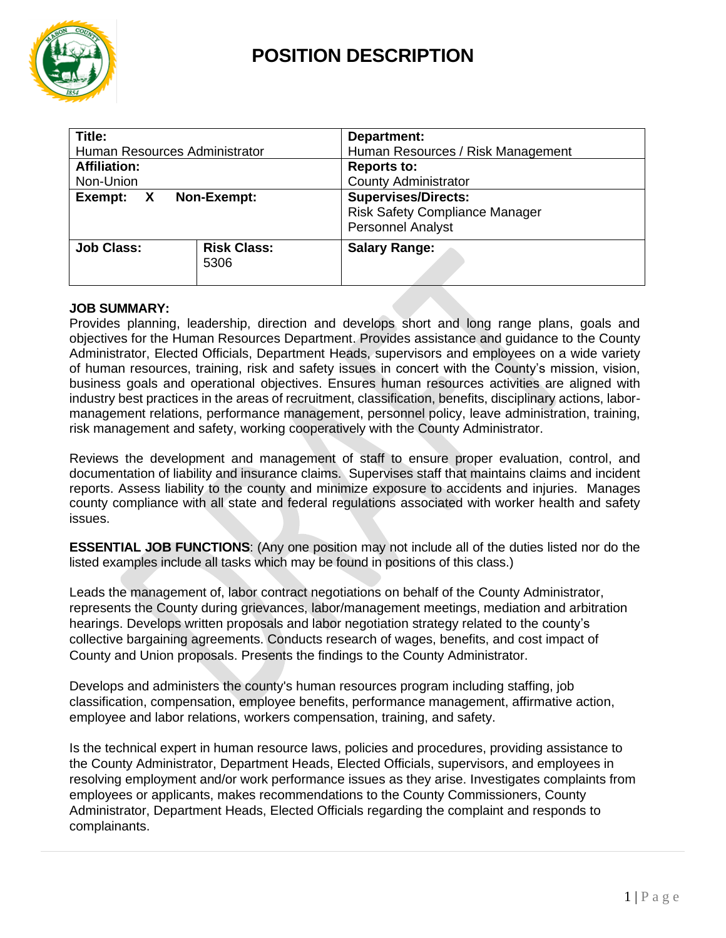

# **POSITION DESCRIPTION**

| Title:                        |                            | Department:                           |
|-------------------------------|----------------------------|---------------------------------------|
| Human Resources Administrator |                            | Human Resources / Risk Management     |
| <b>Affiliation:</b>           |                            | <b>Reports to:</b>                    |
| Non-Union                     |                            | <b>County Administrator</b>           |
| Non-Exempt:                   |                            | <b>Supervises/Directs:</b>            |
| Exempt:                       |                            | <b>Risk Safety Compliance Manager</b> |
| $\mathbf{X}$                  |                            | <b>Personnel Analyst</b>              |
| <b>Job Class:</b>             | <b>Risk Class:</b><br>5306 | <b>Salary Range:</b>                  |

### **JOB SUMMARY:**

Provides planning, leadership, direction and develops short and long range plans, goals and objectives for the Human Resources Department. Provides assistance and guidance to the County Administrator, Elected Officials, Department Heads, supervisors and employees on a wide variety of human resources, training, risk and safety issues in concert with the County's mission, vision, business goals and operational objectives. Ensures human resources activities are aligned with industry best practices in the areas of recruitment, classification, benefits, disciplinary actions, labormanagement relations, performance management, personnel policy, leave administration, training, risk management and safety, working cooperatively with the County Administrator.

Reviews the development and management of staff to ensure proper evaluation, control, and documentation of liability and insurance claims. Supervises staff that maintains claims and incident reports. Assess liability to the county and minimize exposure to accidents and injuries. Manages county compliance with all state and federal regulations associated with worker health and safety issues.

**ESSENTIAL JOB FUNCTIONS**: (Any one position may not include all of the duties listed nor do the listed examples include all tasks which may be found in positions of this class.)

Leads the management of, labor contract negotiations on behalf of the County Administrator, represents the County during grievances, labor/management meetings, mediation and arbitration hearings. Develops written proposals and labor negotiation strategy related to the county's collective bargaining agreements. Conducts research of wages, benefits, and cost impact of County and Union proposals. Presents the findings to the County Administrator.

Develops and administers the county's human resources program including staffing, job classification, compensation, employee benefits, performance management, affirmative action, employee and labor relations, workers compensation, training, and safety.

Is the technical expert in human resource laws, policies and procedures, providing assistance to the County Administrator, Department Heads, Elected Officials, supervisors, and employees in resolving employment and/or work performance issues as they arise. Investigates complaints from employees or applicants, makes recommendations to the County Commissioners, County Administrator, Department Heads, Elected Officials regarding the complaint and responds to complainants.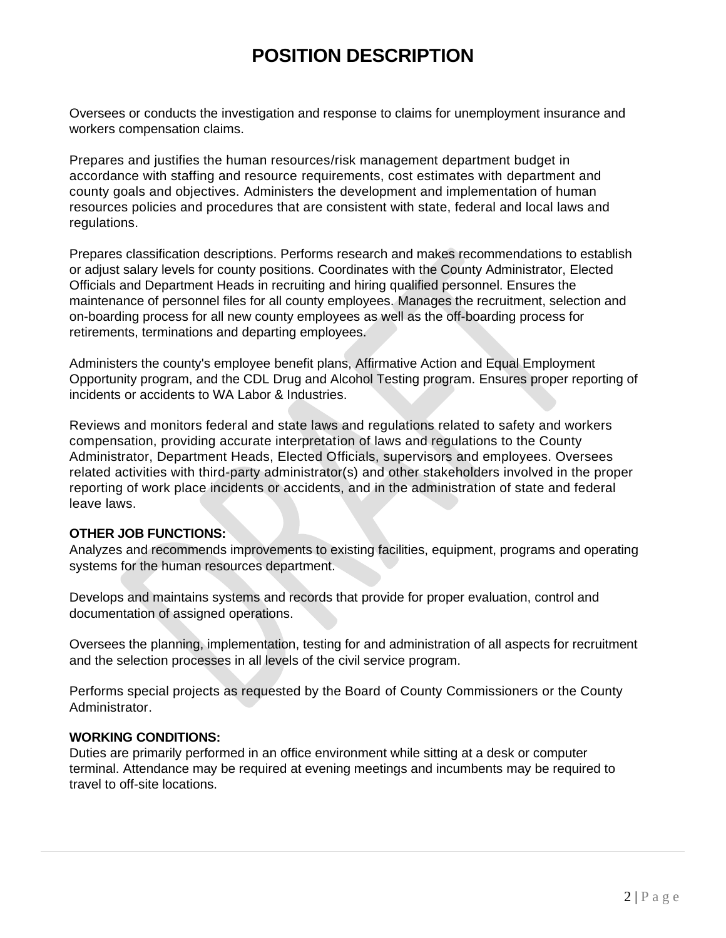# **POSITION DESCRIPTION**

Oversees or conducts the investigation and response to claims for unemployment insurance and workers compensation claims.

Prepares and justifies the human resources/risk management department budget in accordance with staffing and resource requirements, cost estimates with department and county goals and objectives. Administers the development and implementation of human resources policies and procedures that are consistent with state, federal and local laws and regulations.

Prepares classification descriptions. Performs research and makes recommendations to establish or adjust salary levels for county positions. Coordinates with the County Administrator, Elected Officials and Department Heads in recruiting and hiring qualified personnel. Ensures the maintenance of personnel files for all county employees. Manages the recruitment, selection and on-boarding process for all new county employees as well as the off-boarding process for retirements, terminations and departing employees.

Administers the county's employee benefit plans, Affirmative Action and Equal Employment Opportunity program, and the CDL Drug and Alcohol Testing program. Ensures proper reporting of incidents or accidents to WA Labor & Industries.

Reviews and monitors federal and state laws and regulations related to safety and workers compensation, providing accurate interpretation of laws and regulations to the County Administrator, Department Heads, Elected Officials, supervisors and employees. Oversees related activities with third-party administrator(s) and other stakeholders involved in the proper reporting of work place incidents or accidents, and in the administration of state and federal leave laws.

### **OTHER JOB FUNCTIONS:**

Analyzes and recommends improvements to existing facilities, equipment, programs and operating systems for the human resources department.

Develops and maintains systems and records that provide for proper evaluation, control and documentation of assigned operations.

Oversees the planning, implementation, testing for and administration of all aspects for recruitment and the selection processes in all levels of the civil service program.

Performs special projects as requested by the Board of County Commissioners or the County Administrator.

### **WORKING CONDITIONS:**

Duties are primarily performed in an office environment while sitting at a desk or computer terminal. Attendance may be required at evening meetings and incumbents may be required to travel to off-site locations.